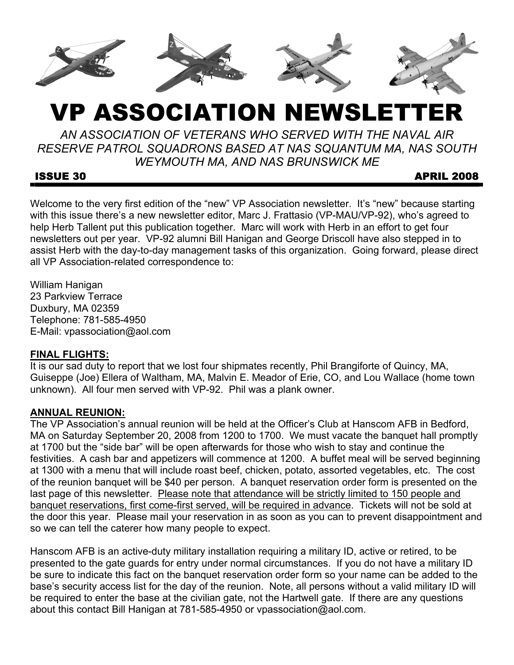

# VP ASSOCIATION NEWSLETTER

*AN ASSOCIATION OF VETERANS WHO SERVED WITH THE NAVAL AIR RESERVE PATROL SQUADRONS BASED AT NAS SQUANTUM MA, NAS SOUTH WEYMOUTH MA, AND NAS BRUNSWICK ME* 

**ISSUE 30** APRIL 2008

Welcome to the very first edition of the "new" VP Association newsletter. It's "new" because starting with this issue there's a new newsletter editor, Marc J. Frattasio (VP-MAU/VP-92), who's agreed to help Herb Tallent put this publication together. Marc will work with Herb in an effort to get four newsletters out per year. VP-92 alumni Bill Hanigan and George Driscoll have also stepped in to assist Herb with the day-to-day management tasks of this organization. Going forward, please direct all VP Association-related correspondence to:

William Hanigan 23 Parkview Terrace Duxbury, MA 02359 Telephone: 781-585-4950 E-Mail: vpassociation@aol.com

# **FINAL FLIGHTS:**

It is our sad duty to report that we lost four shipmates recently, Phil Brangiforte of Quincy, MA, Guiseppe (Joe) Ellera of Waltham, MA, Malvin E. Meador of Erie, CO, and Lou Wallace (home town unknown). All four men served with VP-92. Phil was a plank owner.

# **ANNUAL REUNION:**

The VP Association's annual reunion will be held at the Officer's Club at Hanscom AFB in Bedford, MA on Saturday September 20, 2008 from 1200 to 1700. We must vacate the banquet hall promptly at 1700 but the "side bar" will be open afterwards for those who wish to stay and continue the festivities. A cash bar and appetizers will commence at 1200. A buffet meal will be served beginning at 1300 with a menu that will include roast beef, chicken, potato, assorted vegetables, etc. The cost of the reunion banquet will be \$40 per person. A banquet reservation order form is presented on the last page of this newsletter. Please note that attendance will be strictly limited to 150 people and banquet reservations, first come-first served, will be required in advance. Tickets will not be sold at the door this year. Please mail your reservation in as soon as you can to prevent disappointment and so we can tell the caterer how many people to expect.

Hanscom AFB is an active-duty military installation requiring a military ID, active or retired, to be presented to the gate guards for entry under normal circumstances. If you do not have a military ID be sure to indicate this fact on the banquet reservation order form so your name can be added to the base's security access list for the day of the reunion. Note, all persons without a valid military ID will be required to enter the base at the civilian gate, not the Hartwell gate. If there are any questions about this contact Bill Hanigan at 781-585-4950 or vpassociation@aol.com.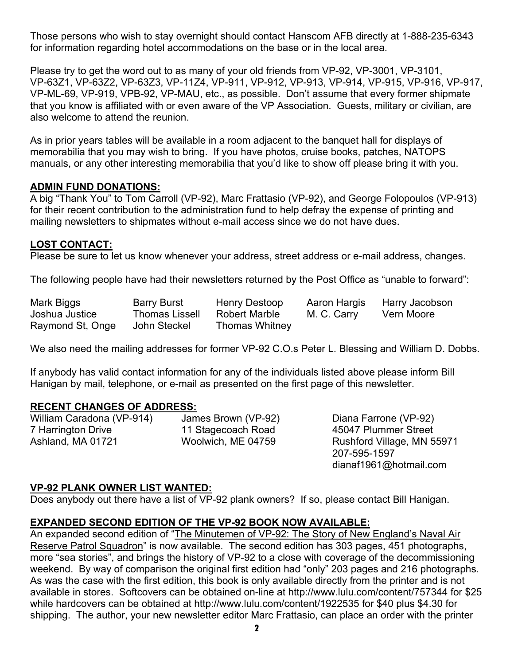Those persons who wish to stay overnight should contact Hanscom AFB directly at 1-888-235-6343 for information regarding hotel accommodations on the base or in the local area.

Please try to get the word out to as many of your old friends from VP-92, VP-3001, VP-3101, VP-63Z1, VP-63Z2, VP-63Z3, VP-11Z4, VP-911, VP-912, VP-913, VP-914, VP-915, VP-916, VP-917, VP-ML-69, VP-919, VPB-92, VP-MAU, etc., as possible. Don't assume that every former shipmate that you know is affiliated with or even aware of the VP Association. Guests, military or civilian, are also welcome to attend the reunion.

As in prior years tables will be available in a room adjacent to the banquet hall for displays of memorabilia that you may wish to bring. If you have photos, cruise books, patches, NATOPS manuals, or any other interesting memorabilia that you'd like to show off please bring it with you.

#### **ADMIN FUND DONATIONS:**

A big "Thank You" to Tom Carroll (VP-92), Marc Frattasio (VP-92), and George Folopoulos (VP-913) for their recent contribution to the administration fund to help defray the expense of printing and mailing newsletters to shipmates without e-mail access since we do not have dues.

#### **LOST CONTACT:**

Please be sure to let us know whenever your address, street address or e-mail address, changes.

The following people have had their newsletters returned by the Post Office as "unable to forward":

| Mark Biggs       | <b>Barry Burst</b>    | Henry Destoop         | Aaron Hargis | Harry Jacobson |
|------------------|-----------------------|-----------------------|--------------|----------------|
| Joshua Justice   | <b>Thomas Lissell</b> | Robert Marble         | M. C. Carry  | Vern Moore     |
| Raymond St, Onge | John Steckel          | <b>Thomas Whitney</b> |              |                |

We also need the mailing addresses for former VP-92 C.O.s Peter L. Blessing and William D. Dobbs.

If anybody has valid contact information for any of the individuals listed above please inform Bill Hanigan by mail, telephone, or e-mail as presented on the first page of this newsletter.

#### **RECENT CHANGES OF ADDRESS:**

William Caradona (VP-914) James Brown (VP-92) Diana Farrone (VP-92) 7 Harrington Drive 11 Stagecoach Road 45047 Plummer Street Ashland, MA 01721 Woolwich, ME 04759 Rushford Village, MN 55971

 207-595-1597 dianaf1961@hotmail.com

# **VP-92 PLANK OWNER LIST WANTED:**

Does anybody out there have a list of VP-92 plank owners? If so, please contact Bill Hanigan.

# **EXPANDED SECOND EDITION OF THE VP-92 BOOK NOW AVAILABLE:**

An expanded second edition of "The Minutemen of VP-92: The Story of New England's Naval Air Reserve Patrol Squadron" is now available. The second edition has 303 pages, 451 photographs, more "sea stories", and brings the history of VP-92 to a close with coverage of the decommissioning weekend. By way of comparison the original first edition had "only" 203 pages and 216 photographs. As was the case with the first edition, this book is only available directly from the printer and is not available in stores. Softcovers can be obtained on-line at http://www.lulu.com/content/757344 for \$25 while hardcovers can be obtained at http://www.lulu.com/content/1922535 for \$40 plus \$4.30 for shipping. The author, your new newsletter editor Marc Frattasio, can place an order with the printer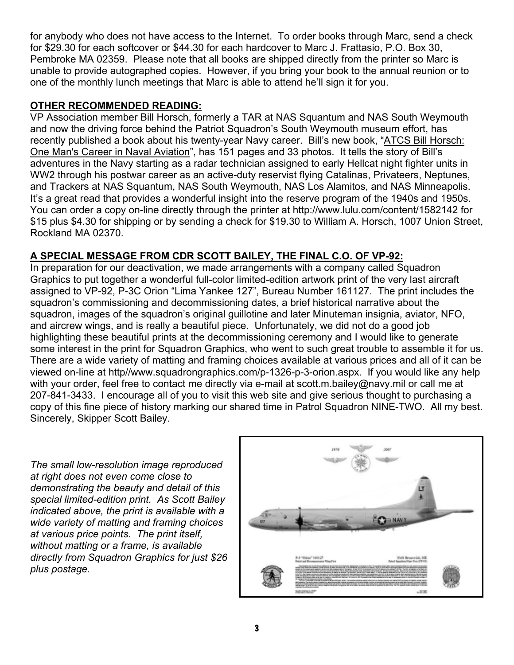for anybody who does not have access to the Internet. To order books through Marc, send a check for \$29.30 for each softcover or \$44.30 for each hardcover to Marc J. Frattasio, P.O. Box 30, Pembroke MA 02359. Please note that all books are shipped directly from the printer so Marc is unable to provide autographed copies. However, if you bring your book to the annual reunion or to one of the monthly lunch meetings that Marc is able to attend he'll sign it for you.

#### **OTHER RECOMMENDED READING:**

VP Association member Bill Horsch, formerly a TAR at NAS Squantum and NAS South Weymouth and now the driving force behind the Patriot Squadron's South Weymouth museum effort, has recently published a book about his twenty-year Navy career. Bill's new book, "ATCS Bill Horsch: One Man's Career in Naval Aviation", has 151 pages and 33 photos. It tells the story of Bill's adventures in the Navy starting as a radar technician assigned to early Hellcat night fighter units in WW2 through his postwar career as an active-duty reservist flying Catalinas, Privateers, Neptunes, and Trackers at NAS Squantum, NAS South Weymouth, NAS Los Alamitos, and NAS Minneapolis. It's a great read that provides a wonderful insight into the reserve program of the 1940s and 1950s. You can order a copy on-line directly through the printer at http://www.lulu.com/content/1582142 for \$15 plus \$4.30 for shipping or by sending a check for \$19.30 to William A. Horsch, 1007 Union Street, Rockland MA 02370.

# **A SPECIAL MESSAGE FROM CDR SCOTT BAILEY, THE FINAL C.O. OF VP-92:**

In preparation for our deactivation, we made arrangements with a company called Squadron Graphics to put together a wonderful full-color limited-edition artwork print of the very last aircraft assigned to VP-92, P-3C Orion "Lima Yankee 127", Bureau Number 161127. The print includes the squadron's commissioning and decommissioning dates, a brief historical narrative about the squadron, images of the squadron's original guillotine and later Minuteman insignia, aviator, NFO, and aircrew wings, and is really a beautiful piece. Unfortunately, we did not do a good job highlighting these beautiful prints at the decommissioning ceremony and I would like to generate some interest in the print for Squadron Graphics, who went to such great trouble to assemble it for us. There are a wide variety of matting and framing choices available at various prices and all of it can be viewed on-line at http//www.squadrongraphics.com/p-1326-p-3-orion.aspx. If you would like any help with your order, feel free to contact me directly via e-mail at scott.m.bailey@navy.mil or call me at 207-841-3433. I encourage all of you to visit this web site and give serious thought to purchasing a copy of this fine piece of history marking our shared time in Patrol Squadron NINE-TWO. All my best. Sincerely, Skipper Scott Bailey.

*The small low-resolution image reproduced at right does not even come close to demonstrating the beauty and detail of this special limited-edition print. As Scott Bailey indicated above, the print is available with a wide variety of matting and framing choices at various price points. The print itself, without matting or a frame, is available directly from Squadron Graphics for just \$26 plus postage.*